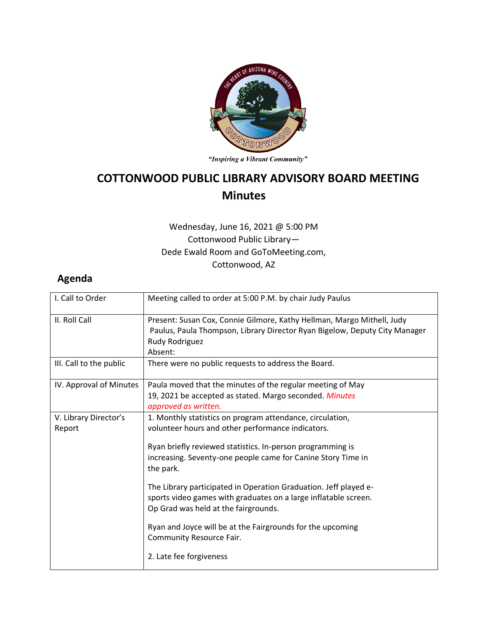

"Inspiring a Vibrant Community"

## **COTTONWOOD PUBLIC LIBRARY ADVISORY BOARD MEETING Minutes**

## Wednesday, June 16, 2021 @ 5:00 PM Cottonwood Public Library— Dede Ewald Room and GoToMeeting.com, Cottonwood, AZ

## **Agenda**

| I. Call to Order                | Meeting called to order at 5:00 P.M. by chair Judy Paulus                                                                                                                         |
|---------------------------------|-----------------------------------------------------------------------------------------------------------------------------------------------------------------------------------|
| II. Roll Call                   | Present: Susan Cox, Connie Gilmore, Kathy Hellman, Margo Mithell, Judy<br>Paulus, Paula Thompson, Library Director Ryan Bigelow, Deputy City Manager<br>Rudy Rodriguez<br>Absent: |
| III. Call to the public         | There were no public requests to address the Board.                                                                                                                               |
| IV. Approval of Minutes         | Paula moved that the minutes of the regular meeting of May<br>19, 2021 be accepted as stated. Margo seconded. Minutes<br>approved as written.                                     |
| V. Library Director's<br>Report | 1. Monthly statistics on program attendance, circulation,<br>volunteer hours and other performance indicators.                                                                    |
|                                 | Ryan briefly reviewed statistics. In-person programming is<br>increasing. Seventy-one people came for Canine Story Time in<br>the park.                                           |
|                                 | The Library participated in Operation Graduation. Jeff played e-<br>sports video games with graduates on a large inflatable screen.<br>Op Grad was held at the fairgrounds.       |
|                                 | Ryan and Joyce will be at the Fairgrounds for the upcoming<br>Community Resource Fair.                                                                                            |
|                                 | 2. Late fee forgiveness                                                                                                                                                           |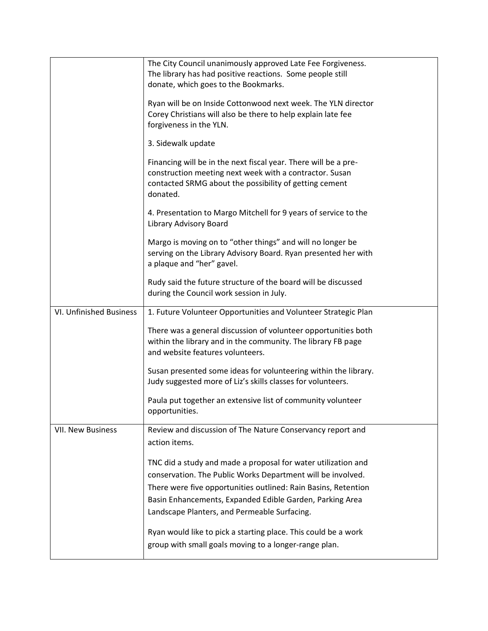|                          | The City Council unanimously approved Late Fee Forgiveness.     |
|--------------------------|-----------------------------------------------------------------|
|                          | The library has had positive reactions. Some people still       |
|                          | donate, which goes to the Bookmarks.                            |
|                          |                                                                 |
|                          | Ryan will be on Inside Cottonwood next week. The YLN director   |
|                          | Corey Christians will also be there to help explain late fee    |
|                          | forgiveness in the YLN.                                         |
|                          | 3. Sidewalk update                                              |
|                          |                                                                 |
|                          | Financing will be in the next fiscal year. There will be a pre- |
|                          | construction meeting next week with a contractor. Susan         |
|                          | contacted SRMG about the possibility of getting cement          |
|                          | donated.                                                        |
|                          | 4. Presentation to Margo Mitchell for 9 years of service to the |
|                          | Library Advisory Board                                          |
|                          | Margo is moving on to "other things" and will no longer be      |
|                          | serving on the Library Advisory Board. Ryan presented her with  |
|                          | a plaque and "her" gavel.                                       |
|                          |                                                                 |
|                          | Rudy said the future structure of the board will be discussed   |
|                          | during the Council work session in July.                        |
| VI. Unfinished Business  | 1. Future Volunteer Opportunities and Volunteer Strategic Plan  |
|                          | There was a general discussion of volunteer opportunities both  |
|                          | within the library and in the community. The library FB page    |
|                          | and website features volunteers.                                |
|                          |                                                                 |
|                          | Susan presented some ideas for volunteering within the library. |
|                          | Judy suggested more of Liz's skills classes for volunteers.     |
|                          | Paula put together an extensive list of community volunteer     |
|                          | opportunities.                                                  |
|                          |                                                                 |
| <b>VII. New Business</b> | Review and discussion of The Nature Conservancy report and      |
|                          | action items.                                                   |
|                          |                                                                 |
|                          | TNC did a study and made a proposal for water utilization and   |
|                          | conservation. The Public Works Department will be involved.     |
|                          | There were five opportunities outlined: Rain Basins, Retention  |
|                          | Basin Enhancements, Expanded Edible Garden, Parking Area        |
|                          | Landscape Planters, and Permeable Surfacing.                    |
|                          |                                                                 |
|                          | Ryan would like to pick a starting place. This could be a work  |
|                          | group with small goals moving to a longer-range plan.           |
|                          |                                                                 |